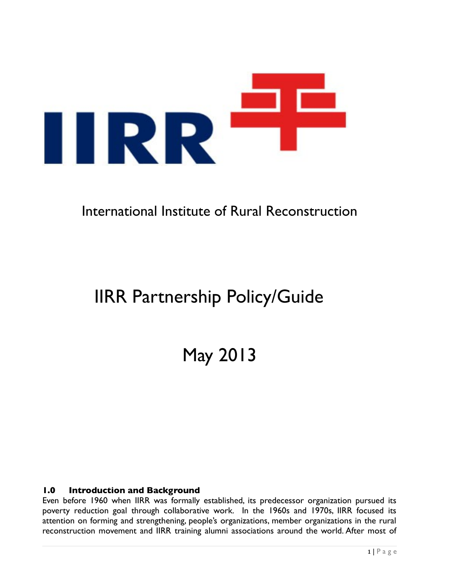

# International Institute of Rural Reconstruction

# IIRR Partnership Policy/Guide

May 2013

#### **1.0 Introduction and Background**

Even before 1960 when IIRR was formally established, its predecessor organization pursued its poverty reduction goal through collaborative work. In the 1960s and 1970s, IIRR focused its attention on forming and strengthening, people's organizations, member organizations in the rural reconstruction movement and IIRR training alumni associations around the world. After most of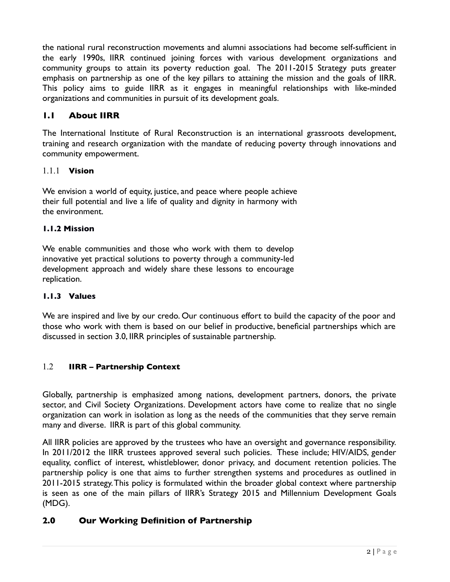the national rural reconstruction movements and alumni associations had become self-suffcient in the early 1990s, IIRR continued joining forces with various development organizations and community groups to attain its poverty reduction goal. The 2011-2015 Strategy puts greater emphasis on partnership as one of the key pillars to attaining the mission and the goals of IIRR. This policy aims to guide IIRR as it engages in meaningful relationships with like-minded organizations and communities in pursuit of its development goals.

# **1.1 About IIRR**

The International Institute of Rural Reconstruction is an international grassroots development, training and research organization with the mandate of reducing poverty through innovations and community empowerment.

#### 1.1.1 **Vision**

We envision a world of equity, justice, and peace where people achieve their full potential and live a life of quality and dignity in harmony with the environment.

#### **1.1.2 Mission**

We enable communities and those who work with them to develop innovative yet practical solutions to poverty through a community-led development approach and widely share these lessons to encourage replication.

#### **1.1.3 Values**

We are inspired and live by our credo. Our continuous effort to build the capacity of the poor and those who work with them is based on our belief in productive, benefcial partnerships which are discussed in section 3.0, IIRR principles of sustainable partnership.

#### 1.2 **IIRR – Partnership Context**

Globally, partnership is emphasized among nations, development partners, donors, the private sector, and Civil Society Organizations. Development actors have come to realize that no single organization can work in isolation as long as the needs of the communities that they serve remain many and diverse. IIRR is part of this global community.

All IIRR policies are approved by the trustees who have an oversight and governance responsibility. In 2011/2012 the IIRR trustees approved several such policies. These include; HIV/AIDS, gender equality, confict of interest, whistleblower, donor privacy, and document retention policies. The partnership policy is one that aims to further strengthen systems and procedures as outlined in 2011-2015 strategy. This policy is formulated within the broader global context where partnership is seen as one of the main pillars of IIRR's Strategy 2015 and Millennium Development Goals (MDG).

#### **2.0 Our Working Definition of Partnership**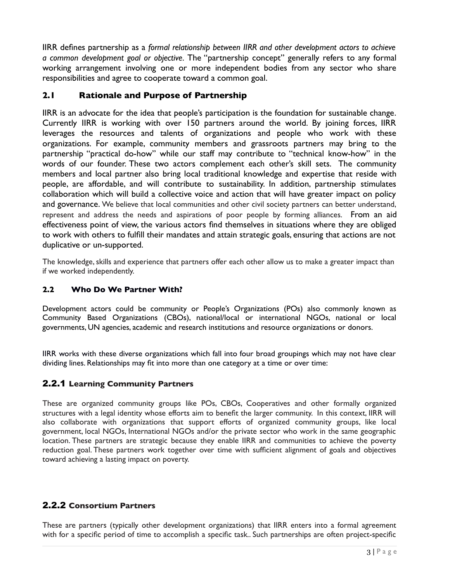IIRR defnes partnership as a *formal relationship between IIRR and other development actors to achieve a common development goal or objective.* The "partnership concept" generally refers to any formal working arrangement involving one or more independent bodies from any sector who share responsibilities and agree to cooperate toward a common goal.

#### **2.1 Rationale and Purpose of Partnership**

IIRR is an advocate for the idea that people's participation is the foundation for sustainable change. Currently IIRR is working with over 150 partners around the world. By joining forces, IIRR leverages the resources and talents of organizations and people who work with these organizations. For example, community members and grassroots partners may bring to the partnership "practical do-how" while our staff may contribute to "technical know-how" in the words of our founder. These two actors complement each other's skill sets. The community members and local partner also bring local traditional knowledge and expertise that reside with people, are affordable, and will contribute to sustainability. In addition, partnership stimulates collaboration which will build a collective voice and action that will have greater impact on policy and governance. We believe that local communities and other civil society partners can better understand, represent and address the needs and aspirations of poor people by forming alliances. From an aid effectiveness point of view, the various actors fnd themselves in situations where they are obliged to work with others to fulfll their mandates and attain strategic goals, ensuring that actions are not duplicative or un-supported.

The knowledge, skills and experience that partners offer each other allow us to make a greater impact than if we worked independently.

#### **2.2 Who Do We Partner With?**

Development actors could be community or People's Organizations (POs) also commonly known as Community Based Organizations (CBOs), national/local or international NGOs, national or local governments, UN agencies, academic and research institutions and resource organizations or donors.

IIRR works with these diverse organizations which fall into four broad groupings which may not have clear dividing lines. Relationships may ft into more than one category at a time or over time:

#### 2.2.1 **Learning Community Partners**

These are organized community groups like POs, CBOs, Cooperatives and other formally organized structures with a legal identity whose efforts aim to beneft the larger community. In this context, IIRR will also collaborate with organizations that support efforts of organized community groups, like local government, local NGOs, International NGOs and/or the private sector who work in the same geographic location. These partners are strategic because they enable IIRR and communities to achieve the poverty reduction goal. These partners work together over time with suffcient alignment of goals and objectives toward achieving a lasting impact on poverty.

#### 2.2.2 **Consortium Partners**

These are partners (typically other development organizations) that IIRR enters into a formal agreement with for a specifc period of time to accomplish a specifc task.. Such partnerships are often project-specifc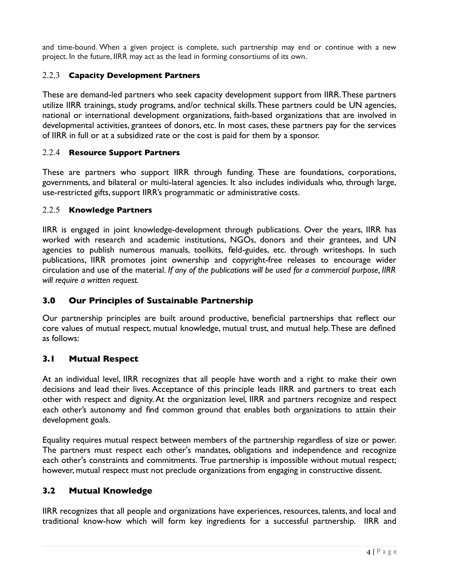and time-bound. When a given project is complete, such partnership may end or continue with a new project. In the future, IIRR may act as the lead in forming consortiums of its own.

#### 2.2.3 **Capacity Development Partners**

These are demand-led partners who seek capacity development support from IIRR. These partners utilize IIRR trainings, study programs, and/or technical skills. These partners could be UN agencies, national or international development organizations, faith-based organizations that are involved in developmental activities, grantees of donors, etc. In most cases, these partners pay for the services of IIRR in full or at a subsidized rate or the cost is paid for them by a sponsor.

## 2.2.4 **Resource Support Partners**

These are partners who support IIRR through funding. These are foundations, corporations, governments, and bilateral or multi-lateral agencies. It also includes individuals who, through large, use-restricted gifts, support IIRR's programmatic or administrative costs.

## 2.2.5 **Knowledge Partners**

IIRR is engaged in joint knowledge-development through publications. Over the years, IIRR has worked with research and academic institutions, NGOs, donors and their grantees, and UN agencies to publish numerous manuals, toolkits, feld-guides, etc. through writeshops. In such publications, IIRR promotes joint ownership and copyright-free releases to encourage wider circulation and use of the material. *If any of the publications will be used for a commercial purpose, IIRR will require a written request.* 

# **3.0 Our Principles of Sustainable Partnership**

Our partnership principles are built around productive, benefcial partnerships that refect our core values of mutual respect, mutual knowledge, mutual trust, and mutual help. These are defned as follows:

# **3.1 Mutual Respect**

At an individual level, IIRR recognizes that all people have worth and a right to make their own decisions and lead their lives. Acceptance of this principle leads IIRR and partners to treat each other with respect and dignity. At the organization level, IIRR and partners recognize and respect each other's autonomy and fnd common ground that enables both organizations to attain their development goals.

Equality requires mutual respect between members of the partnership regardless of size or power. The partners must respect each other's mandates, obligations and independence and recognize each other's constraints and commitments. True partnership is impossible without mutual respect; however, mutual respect must not preclude organizations from engaging in constructive dissent.

# **3.2 Mutual Knowledge**

IIRR recognizes that all people and organizations have experiences, resources, talents, and local and traditional know-how which will form key ingredients for a successful partnership. IIRR and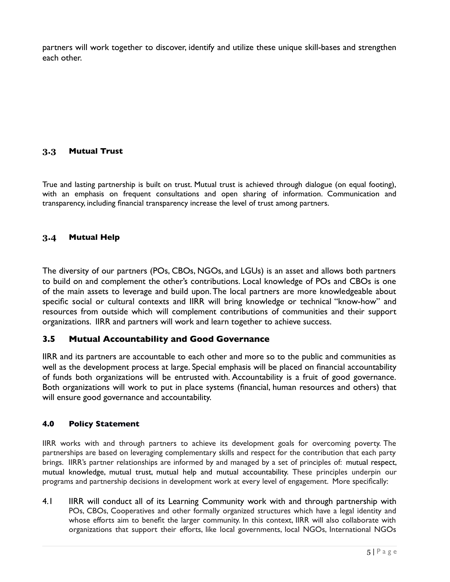partners will work together to discover, identify and utilize these unique skill-bases and strengthen each other.

#### **3.3 Mutual Trust**

True and lasting partnership is built on trust. Mutual trust is achieved through dialogue (on equal footing), with an emphasis on frequent consultations and open sharing of information. Communication and transparency, including fnancial transparency increase the level of trust among partners.

#### **3.4 Mutual Help**

The diversity of our partners (POs, CBOs, NGOs, and LGUs) is an asset and allows both partners to build on and complement the other's contributions. Local knowledge of POs and CBOs is one of the main assets to leverage and build upon. The local partners are more knowledgeable about specifc social or cultural contexts and IIRR will bring knowledge or technical "know-how" and resources from outside which will complement contributions of communities and their support organizations. IIRR and partners will work and learn together to achieve success.

#### **3.5 Mutual Accountability and Good Governance**

IIRR and its partners are accountable to each other and more so to the public and communities as well as the development process at large. Special emphasis will be placed on fnancial accountability of funds both organizations will be entrusted with. Accountability is a fruit of good governance. Both organizations will work to put in place systems (fnancial, human resources and others) that will ensure good governance and accountability.

#### **4.0 Policy Statement**

IIRR works with and through partners to achieve its development goals for overcoming poverty. The partnerships are based on leveraging complementary skills and respect for the contribution that each party brings. IIRR's partner relationships are informed by and managed by a set of principles of: mutual respect, mutual knowledge, mutual trust, mutual help and mutual accountability. These principles underpin our programs and partnership decisions in development work at every level of engagement. More specifcally:

4.1 IIRR will conduct all of its Learning Community work with and through partnership with POs, CBOs, Cooperatives and other formally organized structures which have a legal identity and whose efforts aim to beneft the larger community. In this context, IIRR will also collaborate with organizations that support their efforts, like local governments, local NGOs, International NGOs